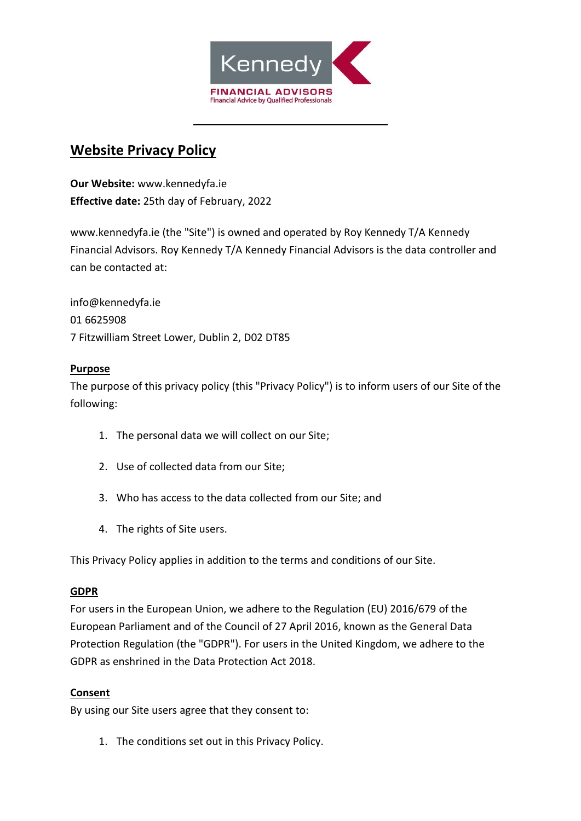

# **Website Privacy Policy**

**Our Website:** www.kennedyfa.ie **Effective date:** 25th day of February, 2022

www.kennedyfa.ie (the "Site") is owned and operated by Roy Kennedy T/A Kennedy Financial Advisors. Roy Kennedy T/A Kennedy Financial Advisors is the data controller and can be contacted at:

info@kennedyfa.ie 01 6625908 7 Fitzwilliam Street Lower, Dublin 2, D02 DT85

## **Purpose**

The purpose of this privacy policy (this "Privacy Policy") is to inform users of our Site of the following:

- 1. The personal data we will collect on our Site;
- 2. Use of collected data from our Site;
- 3. Who has access to the data collected from our Site; and
- 4. The rights of Site users.

This Privacy Policy applies in addition to the terms and conditions of our Site.

## **GDPR**

For users in the European Union, we adhere to the Regulation (EU) 2016/679 of the European Parliament and of the Council of 27 April 2016, known as the General Data Protection Regulation (the "GDPR"). For users in the United Kingdom, we adhere to the GDPR as enshrined in the Data Protection Act 2018.

## **Consent**

By using our Site users agree that they consent to:

1. The conditions set out in this Privacy Policy.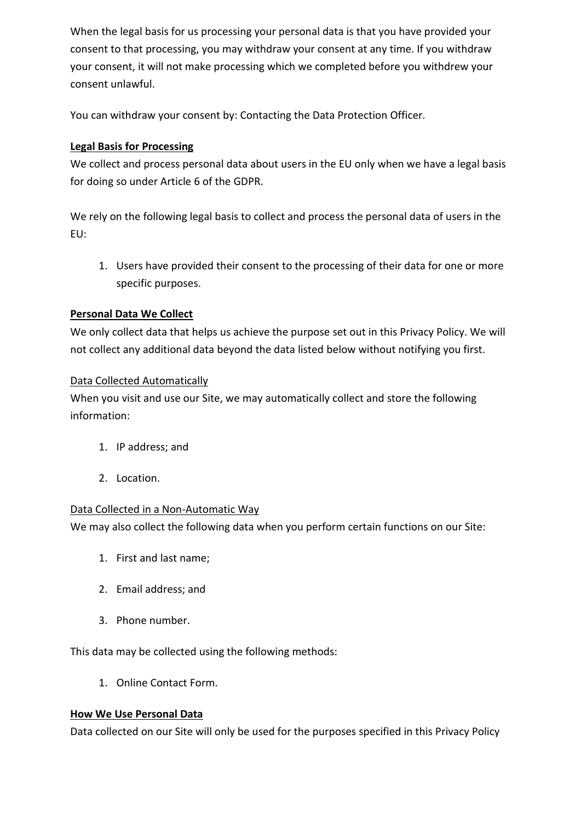When the legal basis for us processing your personal data is that you have provided your consent to that processing, you may withdraw your consent at any time. If you withdraw your consent, it will not make processing which we completed before you withdrew your consent unlawful.

You can withdraw your consent by: Contacting the Data Protection Officer.

# **Legal Basis for Processing**

We collect and process personal data about users in the EU only when we have a legal basis for doing so under Article 6 of the GDPR.

We rely on the following legal basis to collect and process the personal data of users in the EU:

1. Users have provided their consent to the processing of their data for one or more specific purposes.

# **Personal Data We Collect**

We only collect data that helps us achieve the purpose set out in this Privacy Policy. We will not collect any additional data beyond the data listed below without notifying you first.

## Data Collected Automatically

When you visit and use our Site, we may automatically collect and store the following information:

- 1. IP address; and
- 2. Location.

## Data Collected in a Non-Automatic Way

We may also collect the following data when you perform certain functions on our Site:

- 1. First and last name;
- 2. Email address; and
- 3. Phone number.

This data may be collected using the following methods:

1. Online Contact Form.

## **How We Use Personal Data**

Data collected on our Site will only be used for the purposes specified in this Privacy Policy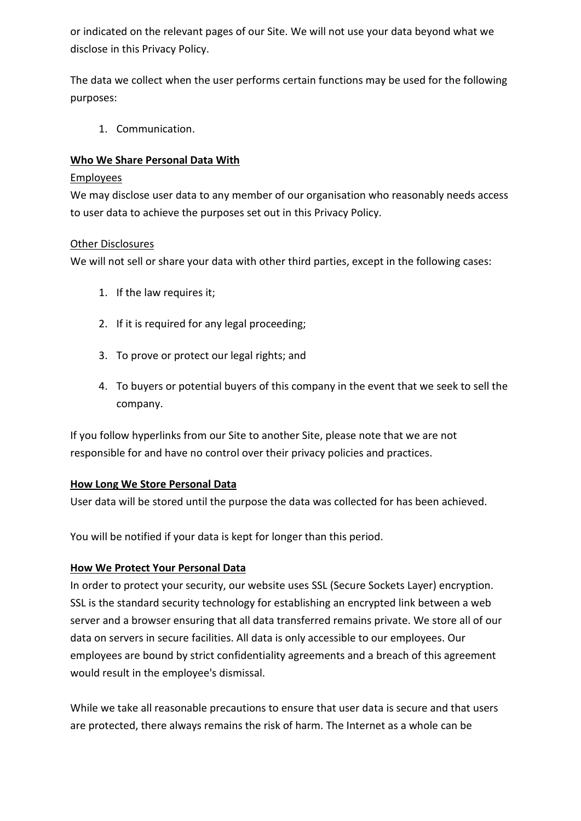or indicated on the relevant pages of our Site. We will not use your data beyond what we disclose in this Privacy Policy.

The data we collect when the user performs certain functions may be used for the following purposes:

1. Communication.

# **Who We Share Personal Data With**

#### **Employees**

We may disclose user data to any member of our organisation who reasonably needs access to user data to achieve the purposes set out in this Privacy Policy.

#### Other Disclosures

We will not sell or share your data with other third parties, except in the following cases:

- 1. If the law requires it;
- 2. If it is required for any legal proceeding;
- 3. To prove or protect our legal rights; and
- 4. To buyers or potential buyers of this company in the event that we seek to sell the company.

If you follow hyperlinks from our Site to another Site, please note that we are not responsible for and have no control over their privacy policies and practices.

## **How Long We Store Personal Data**

User data will be stored until the purpose the data was collected for has been achieved.

You will be notified if your data is kept for longer than this period.

## **How We Protect Your Personal Data**

In order to protect your security, our website uses SSL (Secure Sockets Layer) encryption. SSL is the standard security technology for establishing an encrypted link between a web server and a browser ensuring that all data transferred remains private. We store all of our data on servers in secure facilities. All data is only accessible to our employees. Our employees are bound by strict confidentiality agreements and a breach of this agreement would result in the employee's dismissal.

While we take all reasonable precautions to ensure that user data is secure and that users are protected, there always remains the risk of harm. The Internet as a whole can be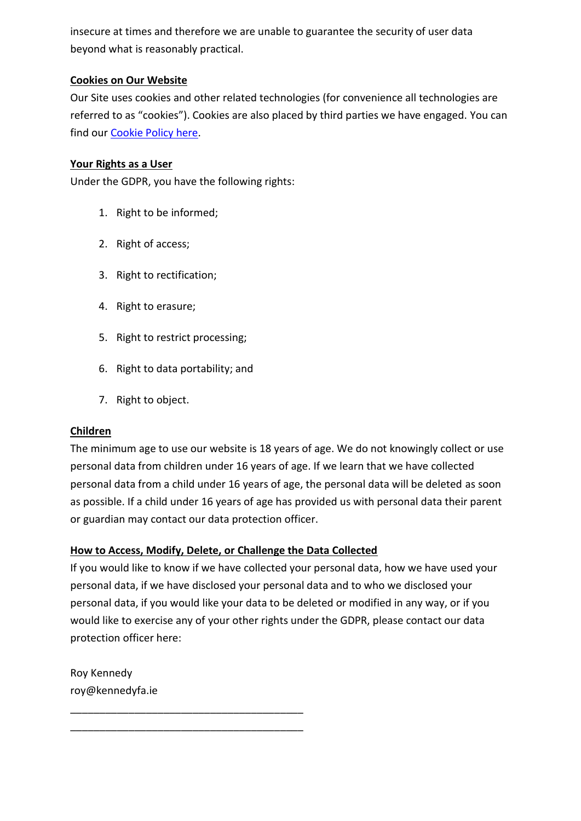insecure at times and therefore we are unable to guarantee the security of user data beyond what is reasonably practical.

# **Cookies on Our Website**

Our Site uses cookies and other related technologies (for convenience all technologies are referred to as "cookies"). Cookies are also placed by third parties we have engaged. You can find our [Cookie Policy](https://www.kennedyfa.ie/cookie-policy-eu/) here.

## **Your Rights as a User**

Under the GDPR, you have the following rights:

- 1. Right to be informed;
- 2. Right of access;
- 3. Right to rectification;
- 4. Right to erasure;
- 5. Right to restrict processing;
- 6. Right to data portability; and
- 7. Right to object.

## **Children**

The minimum age to use our website is 18 years of age. We do not knowingly collect or use personal data from children under 16 years of age. If we learn that we have collected personal data from a child under 16 years of age, the personal data will be deleted as soon as possible. If a child under 16 years of age has provided us with personal data their parent or guardian may contact our data protection officer.

## **How to Access, Modify, Delete, or Challenge the Data Collected**

\_\_\_\_\_\_\_\_\_\_\_\_\_\_\_\_\_\_\_\_\_\_\_\_\_\_\_\_\_\_\_\_\_\_\_\_\_\_\_\_ \_\_\_\_\_\_\_\_\_\_\_\_\_\_\_\_\_\_\_\_\_\_\_\_\_\_\_\_\_\_\_\_\_\_\_\_\_\_\_\_

If you would like to know if we have collected your personal data, how we have used your personal data, if we have disclosed your personal data and to who we disclosed your personal data, if you would like your data to be deleted or modified in any way, or if you would like to exercise any of your other rights under the GDPR, please contact our data protection officer here:

Roy Kennedy roy@kennedyfa.ie